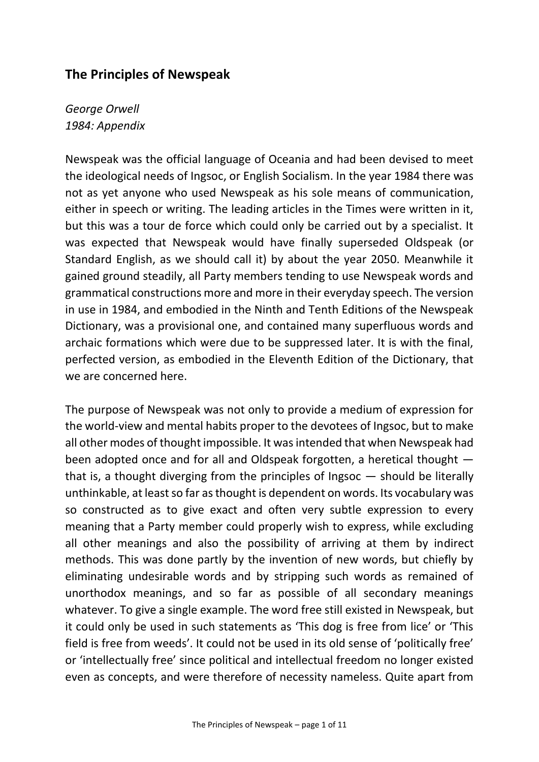## **The Principles of Newspeak**

*George Orwell 1984: Appendix*

Newspeak was the official language of Oceania and had been devised to meet the ideological needs of Ingsoc, or English Socialism. In the year 1984 there was not as yet anyone who used Newspeak as his sole means of communication, either in speech or writing. The leading articles in the Times were written in it, but this was a tour de force which could only be carried out by a specialist. It was expected that Newspeak would have finally superseded Oldspeak (or Standard English, as we should call it) by about the year 2050. Meanwhile it gained ground steadily, all Party members tending to use Newspeak words and grammatical constructions more and more in their everyday speech. The version in use in 1984, and embodied in the Ninth and Tenth Editions of the Newspeak Dictionary, was a provisional one, and contained many superfluous words and archaic formations which were due to be suppressed later. It is with the final, perfected version, as embodied in the Eleventh Edition of the Dictionary, that we are concerned here.

The purpose of Newspeak was not only to provide a medium of expression for the world-view and mental habits proper to the devotees of Ingsoc, but to make all other modes of thought impossible. It was intended that when Newspeak had been adopted once and for all and Oldspeak forgotten, a heretical thought that is, a thought diverging from the principles of Ingsoc — should be literally unthinkable, at least so far as thought is dependent on words. Its vocabulary was so constructed as to give exact and often very subtle expression to every meaning that a Party member could properly wish to express, while excluding all other meanings and also the possibility of arriving at them by indirect methods. This was done partly by the invention of new words, but chiefly by eliminating undesirable words and by stripping such words as remained of unorthodox meanings, and so far as possible of all secondary meanings whatever. To give a single example. The word free still existed in Newspeak, but it could only be used in such statements as 'This dog is free from lice' or 'This field is free from weeds'. It could not be used in its old sense of 'politically free' or 'intellectually free' since political and intellectual freedom no longer existed even as concepts, and were therefore of necessity nameless. Quite apart from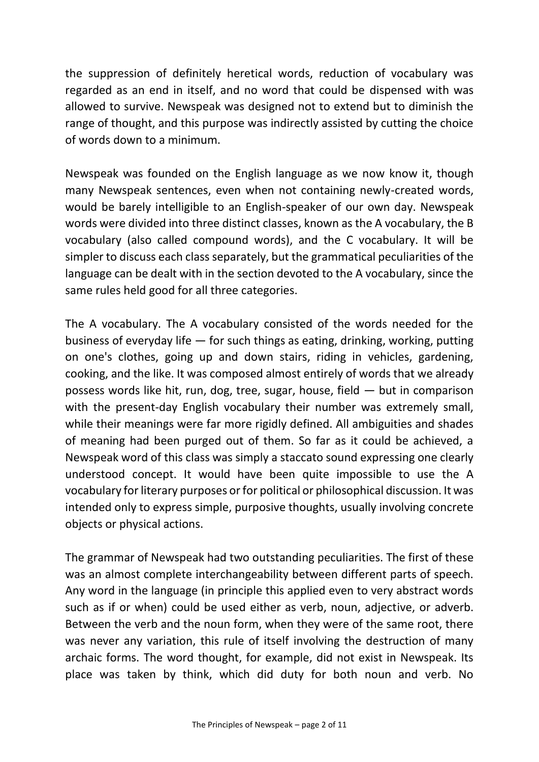the suppression of definitely heretical words, reduction of vocabulary was regarded as an end in itself, and no word that could be dispensed with was allowed to survive. Newspeak was designed not to extend but to diminish the range of thought, and this purpose was indirectly assisted by cutting the choice of words down to a minimum.

Newspeak was founded on the English language as we now know it, though many Newspeak sentences, even when not containing newly-created words, would be barely intelligible to an English-speaker of our own day. Newspeak words were divided into three distinct classes, known as the A vocabulary, the B vocabulary (also called compound words), and the C vocabulary. It will be simpler to discuss each class separately, but the grammatical peculiarities of the language can be dealt with in the section devoted to the A vocabulary, since the same rules held good for all three categories.

The A vocabulary. The A vocabulary consisted of the words needed for the business of everyday life — for such things as eating, drinking, working, putting on one's clothes, going up and down stairs, riding in vehicles, gardening, cooking, and the like. It was composed almost entirely of words that we already possess words like hit, run, dog, tree, sugar, house, field — but in comparison with the present-day English vocabulary their number was extremely small, while their meanings were far more rigidly defined. All ambiguities and shades of meaning had been purged out of them. So far as it could be achieved, a Newspeak word of this class was simply a staccato sound expressing one clearly understood concept. It would have been quite impossible to use the A vocabulary for literary purposes or for political or philosophical discussion. It was intended only to express simple, purposive thoughts, usually involving concrete objects or physical actions.

The grammar of Newspeak had two outstanding peculiarities. The first of these was an almost complete interchangeability between different parts of speech. Any word in the language (in principle this applied even to very abstract words such as if or when) could be used either as verb, noun, adjective, or adverb. Between the verb and the noun form, when they were of the same root, there was never any variation, this rule of itself involving the destruction of many archaic forms. The word thought, for example, did not exist in Newspeak. Its place was taken by think, which did duty for both noun and verb. No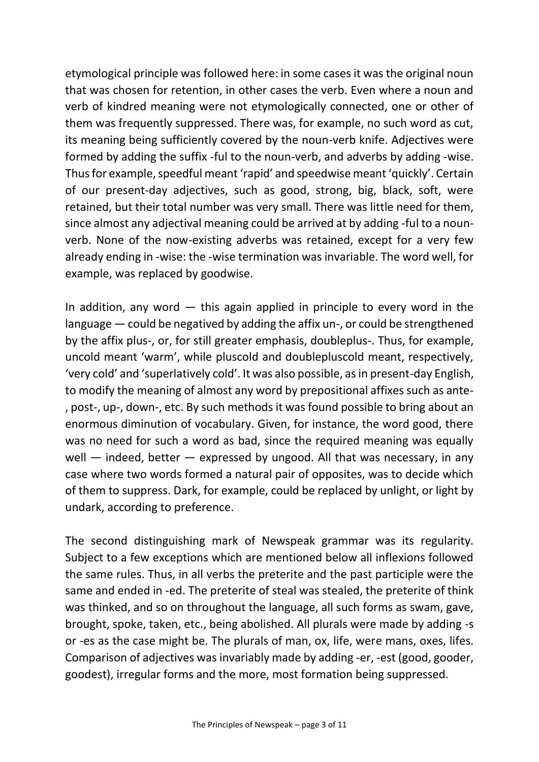etymological principle was followed here: in some cases it was the original noun that was chosen for retention, in other cases the verb. Even where a noun and verb of kindred meaning were not etymologically connected, one or other of them was frequently suppressed. There was, for example, no such word as cut, its meaning being sufficiently covered by the noun-verb knife. Adjectives were formed by adding the suffix -ful to the noun-verb, and adverbs by adding -wise. Thus for example, speedful meant 'rapid' and speedwise meant 'quickly'. Certain of our present-day adjectives, such as good, strong, big, black, soft, were retained, but their total number was very small. There was little need for them, since almost any adjectival meaning could be arrived at by adding -ful to a nounverb. None of the now-existing adverbs was retained, except for a very few already ending in -wise: the -wise termination was invariable. The word well, for example, was replaced by goodwise.

In addition, any word  $-$  this again applied in principle to every word in the language — could be negatived by adding the affix un-, or could be strengthened by the affix plus-, or, for still greater emphasis, doubleplus-. Thus, for example, uncold meant 'warm', while pluscold and doublepluscold meant, respectively, 'very cold' and 'superlatively cold'. It was also possible, as in present-day English, to modify the meaning of almost any word by prepositional affixes such as ante- , post-, up-, down-, etc. By such methods it was found possible to bring about an enormous diminution of vocabulary. Given, for instance, the word good, there was no need for such a word as bad, since the required meaning was equally well — indeed, better — expressed by ungood. All that was necessary, in any case where two words formed a natural pair of opposites, was to decide which of them to suppress. Dark, for example, could be replaced by unlight, or light by undark, according to preference.

The second distinguishing mark of Newspeak grammar was its regularity. Subject to a few exceptions which are mentioned below all inflexions followed the same rules. Thus, in all verbs the preterite and the past participle were the same and ended in -ed. The preterite of steal was stealed, the preterite of think was thinked, and so on throughout the language, all such forms as swam, gave, brought, spoke, taken, etc., being abolished. All plurals were made by adding -s or -es as the case might be. The plurals of man, ox, life, were mans, oxes, lifes. Comparison of adjectives was invariably made by adding -er, -est (good, gooder, goodest), irregular forms and the more, most formation being suppressed.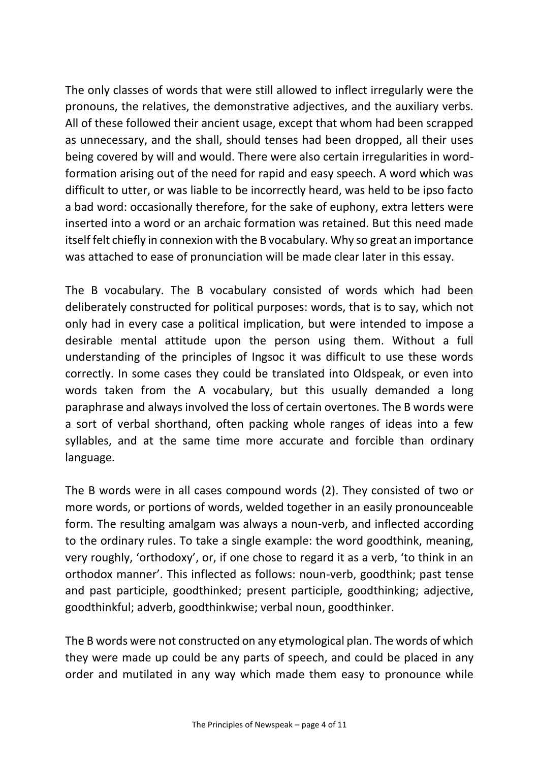The only classes of words that were still allowed to inflect irregularly were the pronouns, the relatives, the demonstrative adjectives, and the auxiliary verbs. All of these followed their ancient usage, except that whom had been scrapped as unnecessary, and the shall, should tenses had been dropped, all their uses being covered by will and would. There were also certain irregularities in wordformation arising out of the need for rapid and easy speech. A word which was difficult to utter, or was liable to be incorrectly heard, was held to be ipso facto a bad word: occasionally therefore, for the sake of euphony, extra letters were inserted into a word or an archaic formation was retained. But this need made itself felt chiefly in connexion with the B vocabulary. Why so great an importance was attached to ease of pronunciation will be made clear later in this essay.

The B vocabulary. The B vocabulary consisted of words which had been deliberately constructed for political purposes: words, that is to say, which not only had in every case a political implication, but were intended to impose a desirable mental attitude upon the person using them. Without a full understanding of the principles of Ingsoc it was difficult to use these words correctly. In some cases they could be translated into Oldspeak, or even into words taken from the A vocabulary, but this usually demanded a long paraphrase and always involved the loss of certain overtones. The B words were a sort of verbal shorthand, often packing whole ranges of ideas into a few syllables, and at the same time more accurate and forcible than ordinary language.

The B words were in all cases compound words (2). They consisted of two or more words, or portions of words, welded together in an easily pronounceable form. The resulting amalgam was always a noun-verb, and inflected according to the ordinary rules. To take a single example: the word goodthink, meaning, very roughly, 'orthodoxy', or, if one chose to regard it as a verb, 'to think in an orthodox manner'. This inflected as follows: noun-verb, goodthink; past tense and past participle, goodthinked; present participle, goodthinking; adjective, goodthinkful; adverb, goodthinkwise; verbal noun, goodthinker.

The B words were not constructed on any etymological plan. The words of which they were made up could be any parts of speech, and could be placed in any order and mutilated in any way which made them easy to pronounce while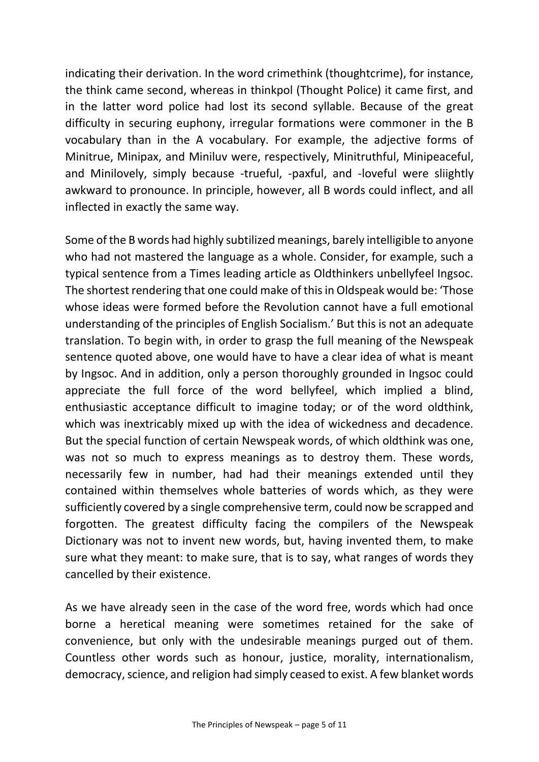indicating their derivation. In the word crimethink (thoughtcrime), for instance, the think came second, whereas in thinkpol (Thought Police) it came first, and in the latter word police had lost its second syllable. Because of the great difficulty in securing euphony, irregular formations were commoner in the B vocabulary than in the A vocabulary. For example, the adjective forms of Minitrue, Minipax, and Miniluv were, respectively, Minitruthful, Minipeaceful, and Minilovely, simply because -trueful, -paxful, and -loveful were sliightly awkward to pronounce. In principle, however, all B words could inflect, and all inflected in exactly the same way.

Some of the B words had highly subtilized meanings, barely intelligible to anyone who had not mastered the language as a whole. Consider, for example, such a typical sentence from a Times leading article as Oldthinkers unbellyfeel Ingsoc. The shortest rendering that one could make of this in Oldspeak would be: 'Those whose ideas were formed before the Revolution cannot have a full emotional understanding of the principles of English Socialism.' But this is not an adequate translation. To begin with, in order to grasp the full meaning of the Newspeak sentence quoted above, one would have to have a clear idea of what is meant by Ingsoc. And in addition, only a person thoroughly grounded in Ingsoc could appreciate the full force of the word bellyfeel, which implied a blind, enthusiastic acceptance difficult to imagine today; or of the word oldthink, which was inextricably mixed up with the idea of wickedness and decadence. But the special function of certain Newspeak words, of which oldthink was one, was not so much to express meanings as to destroy them. These words, necessarily few in number, had had their meanings extended until they contained within themselves whole batteries of words which, as they were sufficiently covered by a single comprehensive term, could now be scrapped and forgotten. The greatest difficulty facing the compilers of the Newspeak Dictionary was not to invent new words, but, having invented them, to make sure what they meant: to make sure, that is to say, what ranges of words they cancelled by their existence.

As we have already seen in the case of the word free, words which had once borne a heretical meaning were sometimes retained for the sake of convenience, but only with the undesirable meanings purged out of them. Countless other words such as honour, justice, morality, internationalism, democracy, science, and religion had simply ceased to exist. A few blanket words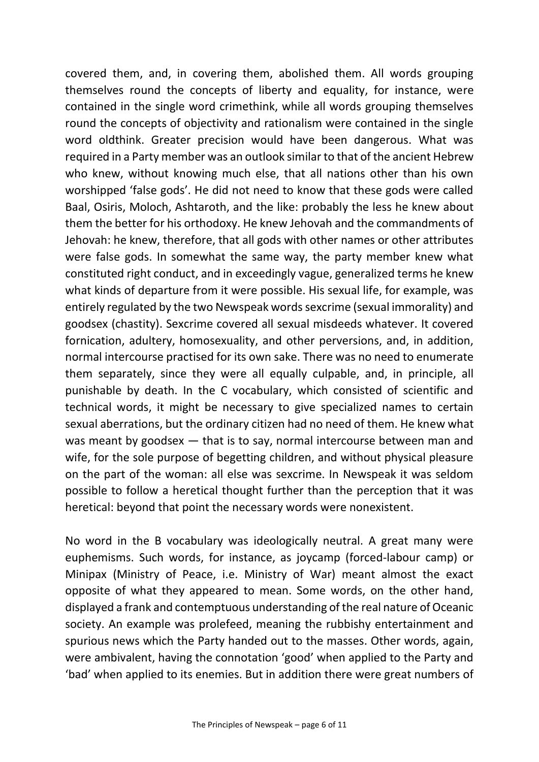covered them, and, in covering them, abolished them. All words grouping themselves round the concepts of liberty and equality, for instance, were contained in the single word crimethink, while all words grouping themselves round the concepts of objectivity and rationalism were contained in the single word oldthink. Greater precision would have been dangerous. What was required in a Party member was an outlook similar to that of the ancient Hebrew who knew, without knowing much else, that all nations other than his own worshipped 'false gods'. He did not need to know that these gods were called Baal, Osiris, Moloch, Ashtaroth, and the like: probably the less he knew about them the better for his orthodoxy. He knew Jehovah and the commandments of Jehovah: he knew, therefore, that all gods with other names or other attributes were false gods. In somewhat the same way, the party member knew what constituted right conduct, and in exceedingly vague, generalized terms he knew what kinds of departure from it were possible. His sexual life, for example, was entirely regulated by the two Newspeak words sexcrime (sexual immorality) and goodsex (chastity). Sexcrime covered all sexual misdeeds whatever. It covered fornication, adultery, homosexuality, and other perversions, and, in addition, normal intercourse practised for its own sake. There was no need to enumerate them separately, since they were all equally culpable, and, in principle, all punishable by death. In the C vocabulary, which consisted of scientific and technical words, it might be necessary to give specialized names to certain sexual aberrations, but the ordinary citizen had no need of them. He knew what was meant by goodsex — that is to say, normal intercourse between man and wife, for the sole purpose of begetting children, and without physical pleasure on the part of the woman: all else was sexcrime. In Newspeak it was seldom possible to follow a heretical thought further than the perception that it was heretical: beyond that point the necessary words were nonexistent.

No word in the B vocabulary was ideologically neutral. A great many were euphemisms. Such words, for instance, as joycamp (forced-labour camp) or Minipax (Ministry of Peace, i.e. Ministry of War) meant almost the exact opposite of what they appeared to mean. Some words, on the other hand, displayed a frank and contemptuous understanding of the real nature of Oceanic society. An example was prolefeed, meaning the rubbishy entertainment and spurious news which the Party handed out to the masses. Other words, again, were ambivalent, having the connotation 'good' when applied to the Party and 'bad' when applied to its enemies. But in addition there were great numbers of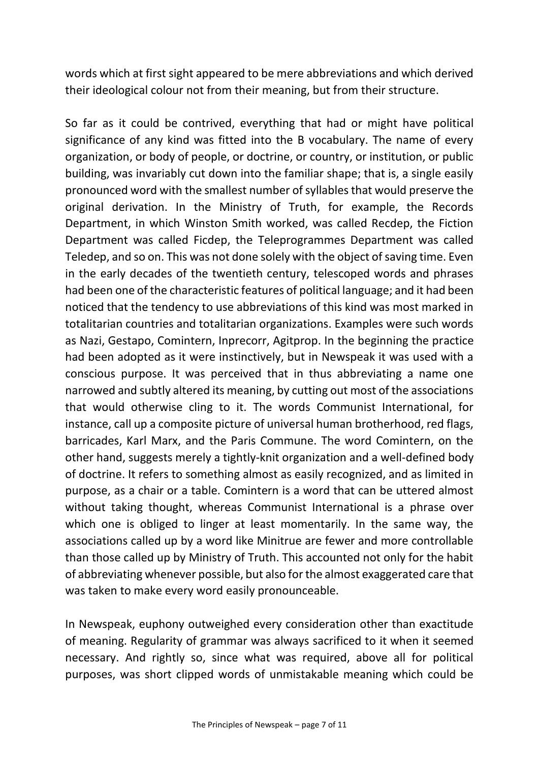words which at first sight appeared to be mere abbreviations and which derived their ideological colour not from their meaning, but from their structure.

So far as it could be contrived, everything that had or might have political significance of any kind was fitted into the B vocabulary. The name of every organization, or body of people, or doctrine, or country, or institution, or public building, was invariably cut down into the familiar shape; that is, a single easily pronounced word with the smallest number of syllables that would preserve the original derivation. In the Ministry of Truth, for example, the Records Department, in which Winston Smith worked, was called Recdep, the Fiction Department was called Ficdep, the Teleprogrammes Department was called Teledep, and so on. This was not done solely with the object of saving time. Even in the early decades of the twentieth century, telescoped words and phrases had been one of the characteristic features of political language; and it had been noticed that the tendency to use abbreviations of this kind was most marked in totalitarian countries and totalitarian organizations. Examples were such words as Nazi, Gestapo, Comintern, Inprecorr, Agitprop. In the beginning the practice had been adopted as it were instinctively, but in Newspeak it was used with a conscious purpose. It was perceived that in thus abbreviating a name one narrowed and subtly altered its meaning, by cutting out most of the associations that would otherwise cling to it. The words Communist International, for instance, call up a composite picture of universal human brotherhood, red flags, barricades, Karl Marx, and the Paris Commune. The word Comintern, on the other hand, suggests merely a tightly-knit organization and a well-defined body of doctrine. It refers to something almost as easily recognized, and as limited in purpose, as a chair or a table. Comintern is a word that can be uttered almost without taking thought, whereas Communist International is a phrase over which one is obliged to linger at least momentarily. In the same way, the associations called up by a word like Minitrue are fewer and more controllable than those called up by Ministry of Truth. This accounted not only for the habit of abbreviating whenever possible, but also for the almost exaggerated care that was taken to make every word easily pronounceable.

In Newspeak, euphony outweighed every consideration other than exactitude of meaning. Regularity of grammar was always sacrificed to it when it seemed necessary. And rightly so, since what was required, above all for political purposes, was short clipped words of unmistakable meaning which could be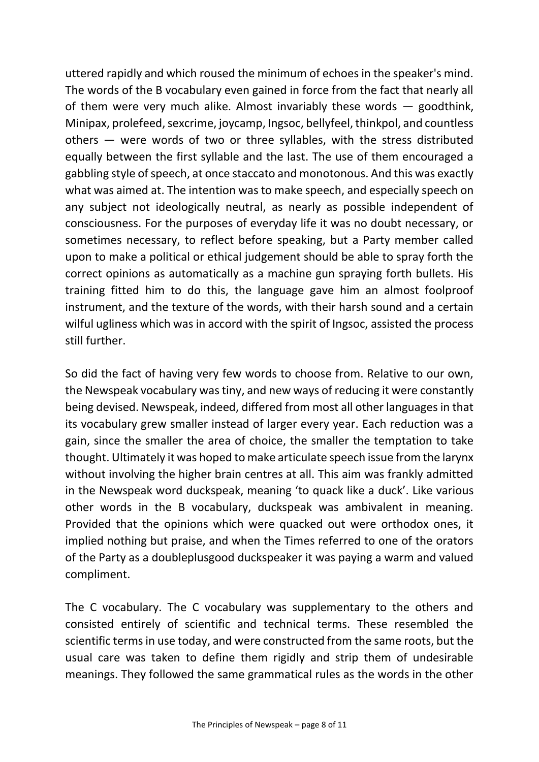uttered rapidly and which roused the minimum of echoes in the speaker's mind. The words of the B vocabulary even gained in force from the fact that nearly all of them were very much alike. Almost invariably these words  $-$  goodthink, Minipax, prolefeed, sexcrime, joycamp, Ingsoc, bellyfeel, thinkpol, and countless others — were words of two or three syllables, with the stress distributed equally between the first syllable and the last. The use of them encouraged a gabbling style of speech, at once staccato and monotonous. And this was exactly what was aimed at. The intention was to make speech, and especially speech on any subject not ideologically neutral, as nearly as possible independent of consciousness. For the purposes of everyday life it was no doubt necessary, or sometimes necessary, to reflect before speaking, but a Party member called upon to make a political or ethical judgement should be able to spray forth the correct opinions as automatically as a machine gun spraying forth bullets. His training fitted him to do this, the language gave him an almost foolproof instrument, and the texture of the words, with their harsh sound and a certain wilful ugliness which was in accord with the spirit of Ingsoc, assisted the process still further.

So did the fact of having very few words to choose from. Relative to our own, the Newspeak vocabulary was tiny, and new ways of reducing it were constantly being devised. Newspeak, indeed, differed from most all other languages in that its vocabulary grew smaller instead of larger every year. Each reduction was a gain, since the smaller the area of choice, the smaller the temptation to take thought. Ultimately it was hoped to make articulate speech issue from the larynx without involving the higher brain centres at all. This aim was frankly admitted in the Newspeak word duckspeak, meaning 'to quack like a duck'. Like various other words in the B vocabulary, duckspeak was ambivalent in meaning. Provided that the opinions which were quacked out were orthodox ones, it implied nothing but praise, and when the Times referred to one of the orators of the Party as a doubleplusgood duckspeaker it was paying a warm and valued compliment.

The C vocabulary. The C vocabulary was supplementary to the others and consisted entirely of scientific and technical terms. These resembled the scientific terms in use today, and were constructed from the same roots, but the usual care was taken to define them rigidly and strip them of undesirable meanings. They followed the same grammatical rules as the words in the other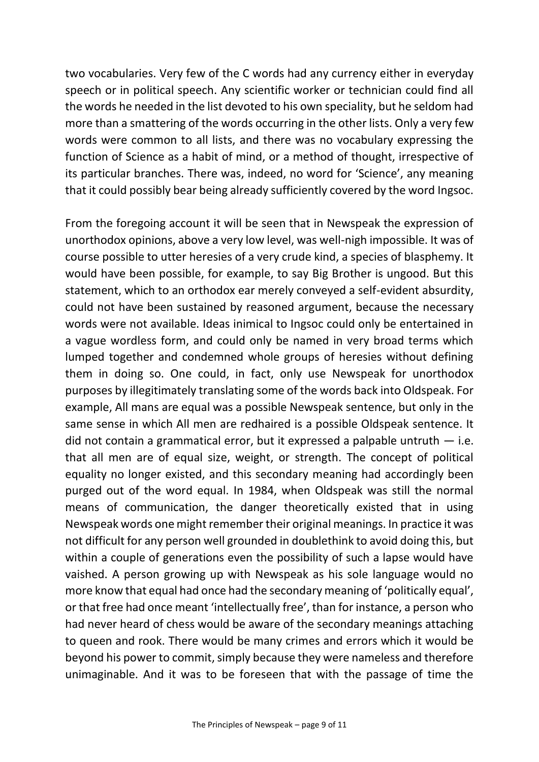two vocabularies. Very few of the C words had any currency either in everyday speech or in political speech. Any scientific worker or technician could find all the words he needed in the list devoted to his own speciality, but he seldom had more than a smattering of the words occurring in the other lists. Only a very few words were common to all lists, and there was no vocabulary expressing the function of Science as a habit of mind, or a method of thought, irrespective of its particular branches. There was, indeed, no word for 'Science', any meaning that it could possibly bear being already sufficiently covered by the word Ingsoc.

From the foregoing account it will be seen that in Newspeak the expression of unorthodox opinions, above a very low level, was well-nigh impossible. It was of course possible to utter heresies of a very crude kind, a species of blasphemy. It would have been possible, for example, to say Big Brother is ungood. But this statement, which to an orthodox ear merely conveyed a self-evident absurdity, could not have been sustained by reasoned argument, because the necessary words were not available. Ideas inimical to Ingsoc could only be entertained in a vague wordless form, and could only be named in very broad terms which lumped together and condemned whole groups of heresies without defining them in doing so. One could, in fact, only use Newspeak for unorthodox purposes by illegitimately translating some of the words back into Oldspeak. For example, All mans are equal was a possible Newspeak sentence, but only in the same sense in which All men are redhaired is a possible Oldspeak sentence. It did not contain a grammatical error, but it expressed a palpable untruth  $-$  i.e. that all men are of equal size, weight, or strength. The concept of political equality no longer existed, and this secondary meaning had accordingly been purged out of the word equal. In 1984, when Oldspeak was still the normal means of communication, the danger theoretically existed that in using Newspeak words one might remember their original meanings. In practice it was not difficult for any person well grounded in doublethink to avoid doing this, but within a couple of generations even the possibility of such a lapse would have vaished. A person growing up with Newspeak as his sole language would no more know that equal had once had the secondary meaning of 'politically equal', or that free had once meant 'intellectually free', than for instance, a person who had never heard of chess would be aware of the secondary meanings attaching to queen and rook. There would be many crimes and errors which it would be beyond his power to commit, simply because they were nameless and therefore unimaginable. And it was to be foreseen that with the passage of time the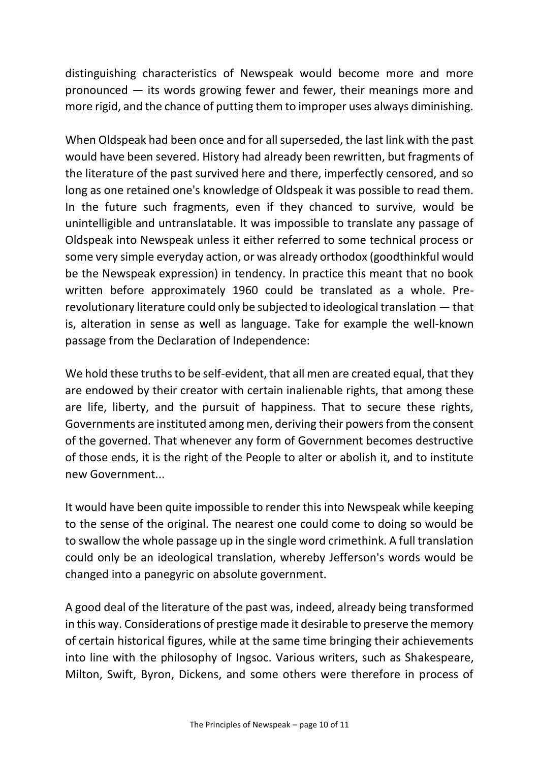distinguishing characteristics of Newspeak would become more and more pronounced — its words growing fewer and fewer, their meanings more and more rigid, and the chance of putting them to improper uses always diminishing.

When Oldspeak had been once and for all superseded, the last link with the past would have been severed. History had already been rewritten, but fragments of the literature of the past survived here and there, imperfectly censored, and so long as one retained one's knowledge of Oldspeak it was possible to read them. In the future such fragments, even if they chanced to survive, would be unintelligible and untranslatable. It was impossible to translate any passage of Oldspeak into Newspeak unless it either referred to some technical process or some very simple everyday action, or was already orthodox (goodthinkful would be the Newspeak expression) in tendency. In practice this meant that no book written before approximately 1960 could be translated as a whole. Prerevolutionary literature could only be subjected to ideological translation — that is, alteration in sense as well as language. Take for example the well-known passage from the Declaration of Independence:

We hold these truths to be self-evident, that all men are created equal, that they are endowed by their creator with certain inalienable rights, that among these are life, liberty, and the pursuit of happiness. That to secure these rights, Governments are instituted among men, deriving their powers from the consent of the governed. That whenever any form of Government becomes destructive of those ends, it is the right of the People to alter or abolish it, and to institute new Government...

It would have been quite impossible to render this into Newspeak while keeping to the sense of the original. The nearest one could come to doing so would be to swallow the whole passage up in the single word crimethink. A full translation could only be an ideological translation, whereby Jefferson's words would be changed into a panegyric on absolute government.

A good deal of the literature of the past was, indeed, already being transformed in this way. Considerations of prestige made it desirable to preserve the memory of certain historical figures, while at the same time bringing their achievements into line with the philosophy of Ingsoc. Various writers, such as Shakespeare, Milton, Swift, Byron, Dickens, and some others were therefore in process of